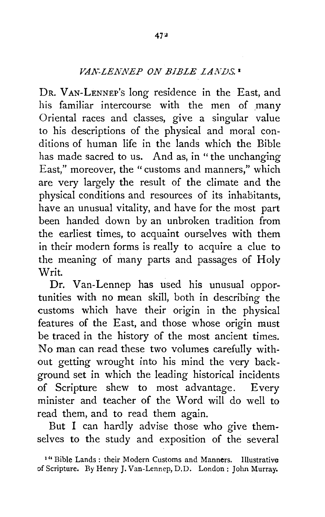## *VA.K-LENNEP ON BIBLE LAl\WS.* <sup>1</sup>

DR. VAN-LENNEP's long residence in the East, and his familiar intercourse with the men of many Oriental races and classes, give a singular value to his descriptions of the physical and moral conditions of human life in the lands which the Bible has made sacred to us. And as, in "the unchanging East," moreover, the "customs and manners," which are very largely the result of the climate and the physical conditions and resources of its inhabitants, have an unusual vitality, and have for the most part been handed down by an unbroken tradition from the earliest times, to acquaint ourselves with them in their modern forms is really to acquire a clue to the meaning of many parts and passages of Holy Writ.

Dr. Van-Lennep has used his unusual opportunities with no mean skill, both in describing the customs which have their origin in the physical features of the East, and those whose origin must be traced in the history of the most ancient times. No man can read these two volumes carefully without getting wrought into his mind the very background set in which the leading historical incidents of Scripture shew to most advantage. Every minister and teacher of the Word will do well to read them, and to read them again.

But I can hardly advise those who give themselves to the study and exposition of the several

<sup>&</sup>lt;sup>1</sup> " Bible Lands : their Modern Customs and Manners. Illustrative of Scripture. *By* Henry J. Van-Lennep, D.D. London: John Murray.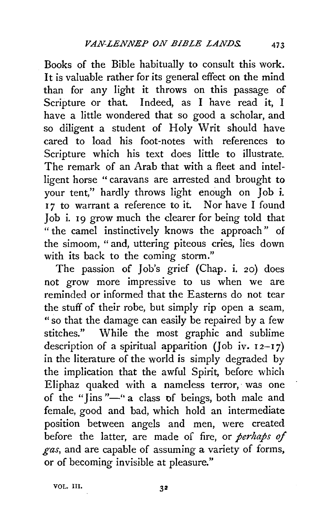Books of the Bible habitually to consult this work. It is valuable rather for its general effect on the mind than for any light it throws on this passage of Scripture or that. Indeed, as I have read it. I have a little wondered that so good a scholar, and so diligent a student of Holy Writ should have cared to load his foot-notes with references to Scripture which his text does little to illustrate. The remark of an Arab that with a fleet and intelligent horse "caravans are arrested and brought to your tent," hardly throws light enough on Job i. <sup>I</sup>7 to warrant a reference to it. Nor have I found Job i. 19 grow much the clearer for being told that " the camel instinctively knows the approach" of the simoom, " and, uttering piteous cries, lies down with its back to the coming storm."

The passion of Job's grief (Chap. i. 20) does not grow more impressive to us when we are reminded or informed that the Easterns do not tear the stuff of their robe, but simply rip open a seam, "so that the damage can easily be repaired by a few stitches." While the most graphic and sublime description of a spiritual apparition (Job iv.  $12-17$ ) in the literature of the world is simply degraded by the implication that the awful Spirit, before which Eliphaz quaked with a nameless terror, was one of the "Jins"—" a class of beings, both male and female, good and bad, which hold an intermediate position between angels and men, were created before the latter, are made of fire, or *perhaps of gas,* and are capable of assuming a variety of forms, or of becoming invisible at pleasure."

VOL. Ill,